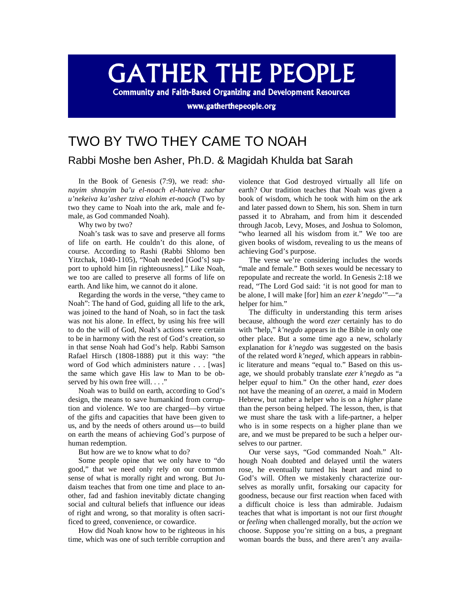## **GATHER THE PEOPLE**

**Community and Faith-Based Organizing and Development Resources** 

www.gatherthepeople.org

## TWO BY TWO THEY CAME TO NOAH

## Rabbi Moshe ben Asher, Ph.D. & Magidah Khulda bat Sarah

In the Book of Genesis (7:9), we read: *shanayim shnayim ba'u el-noach el-hateiva zachar u'nekeiva ka'asher tziva elohim et-noach* (Two by two they came to Noah into the ark, male and female, as God commanded Noah).

Why two by two?

Noah's task was to save and preserve all forms of life on earth. He couldn't do this alone, of course. According to Rashi (Rabbi Shlomo ben Yitzchak, 1040-1105), "Noah needed [God's] support to uphold him [in righteousness]." Like Noah, we too are called to preserve all forms of life on earth. And like him, we cannot do it alone.

Regarding the words in the verse, "they came to Noah": The hand of God, guiding all life to the ark, was joined to the hand of Noah, so in fact the task was not his alone. In effect, by using his free will to do the will of God, Noah's actions were certain to be in harmony with the rest of God's creation, so in that sense Noah had God's help. Rabbi Samson Rafael Hirsch (1808-1888) put it this way: "the word of God which administers nature . . . [was] the same which gave His law to Man to be observed by his own free will. . . ."

Noah was to build on earth, according to God's design, the means to save humankind from corruption and violence. We too are charged—by virtue of the gifts and capacities that have been given to us, and by the needs of others around us—to build on earth the means of achieving God's purpose of human redemption.

But how are we to know what to do?

Some people opine that we only have to "do good," that we need only rely on our common sense of what is morally right and wrong. But Judaism teaches that from one time and place to another, fad and fashion inevitably dictate changing social and cultural beliefs that influence our ideas of right and wrong, so that morality is often sacrificed to greed, convenience, or cowardice.

How did Noah know how to be righteous in his time, which was one of such terrible corruption and violence that God destroyed virtually all life on earth? Our tradition teaches that Noah was given a book of wisdom, which he took with him on the ark and later passed down to Shem, his son. Shem in turn passed it to Abraham, and from him it descended through Jacob, Levy, Moses, and Joshua to Solomon, "who learned all his wisdom from it." We too are given books of wisdom, revealing to us the means of achieving God's purpose.

The verse we're considering includes the words "male and female." Both sexes would be necessary to repopulate and recreate the world. In Genesis 2:18 we read, "The Lord God said: 'it is not good for man to be alone, I will make [for] him an *ezer k'negdo*'"—"a helper for him."

The difficulty in understanding this term arises because, although the word *ezer* certainly has to do with "help," *k'negdo* appears in the Bible in only one other place. But a some time ago a new, scholarly explanation for *k'negdo* was suggested on the basis of the related word *k'neged*, which appears in rabbinic literature and means "equal to." Based on this usage, we should probably translate *ezer k'negdo* as "a helper *equal* to him." On the other hand, *ezer* does not have the meaning of an *ozeret*, a maid in Modern Hebrew, but rather a helper who is on a *higher* plane than the person being helped. The lesson, then, is that we must share the task with a life-partner, a helper who is in some respects on a higher plane than we are, and we must be prepared to be such a helper ourselves to our partner.

Our verse says, "God commanded Noah." Although Noah doubted and delayed until the waters rose, he eventually turned his heart and mind to God's will. Often we mistakenly characterize ourselves as morally unfit, forsaking our capacity for goodness, because our first reaction when faced with a difficult choice is less than admirable. Judaism teaches that what is important is not our first *thought* or *feeling* when challenged morally, but the *action* we choose. Suppose you're sitting on a bus, a pregnant woman boards the buss, and there aren't any availa